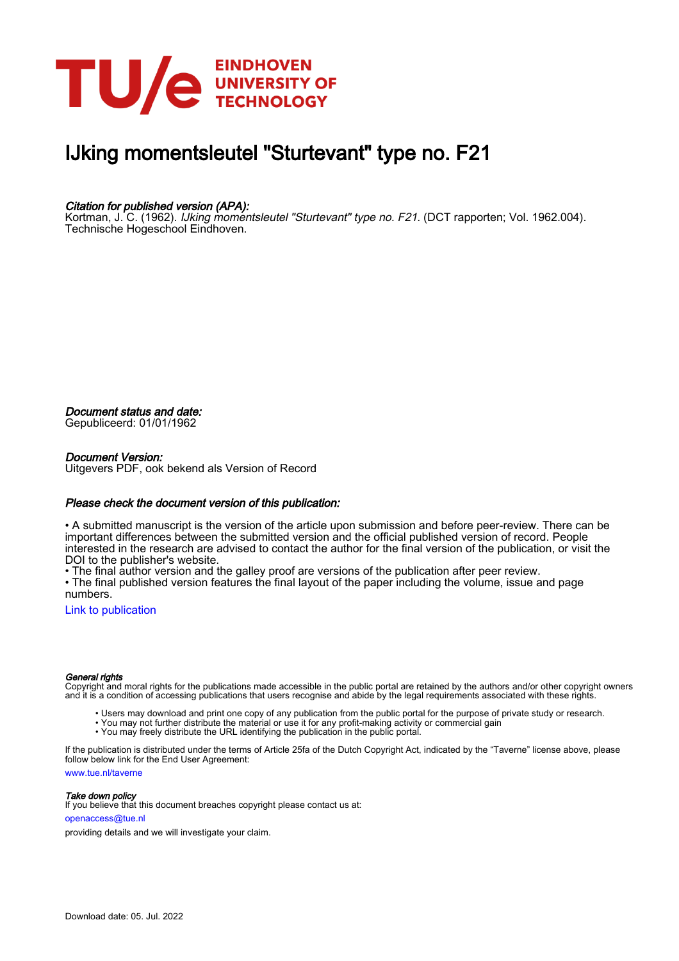

# IJking momentsleutel "Sturtevant" type no. F21

## Citation for published version (APA):

Kortman, J. C. (1962). IJking momentsleutel "Sturtevant" type no. F21. (DCT rapporten; Vol. 1962.004). Technische Hogeschool Eindhoven.

Document status and date:

Gepubliceerd: 01/01/1962

#### Document Version:

Uitgevers PDF, ook bekend als Version of Record

### Please check the document version of this publication:

• A submitted manuscript is the version of the article upon submission and before peer-review. There can be important differences between the submitted version and the official published version of record. People interested in the research are advised to contact the author for the final version of the publication, or visit the DOI to the publisher's website.

• The final author version and the galley proof are versions of the publication after peer review.

• The final published version features the final layout of the paper including the volume, issue and page numbers.

[Link to publication](https://research.tue.nl/nl/publications/cd93f67c-e4f1-4bc2-8d31-cc7380246398)

#### General rights

Copyright and moral rights for the publications made accessible in the public portal are retained by the authors and/or other copyright owners and it is a condition of accessing publications that users recognise and abide by the legal requirements associated with these rights.

- Users may download and print one copy of any publication from the public portal for the purpose of private study or research.
- You may not further distribute the material or use it for any profit-making activity or commercial gain
- You may freely distribute the URL identifying the publication in the public portal.

If the publication is distributed under the terms of Article 25fa of the Dutch Copyright Act, indicated by the "Taverne" license above, please follow below link for the End User Agreement:

www.tue.nl/taverne

**Take down policy**<br>If you believe that this document breaches copyright please contact us at:

openaccess@tue.nl

providing details and we will investigate your claim.